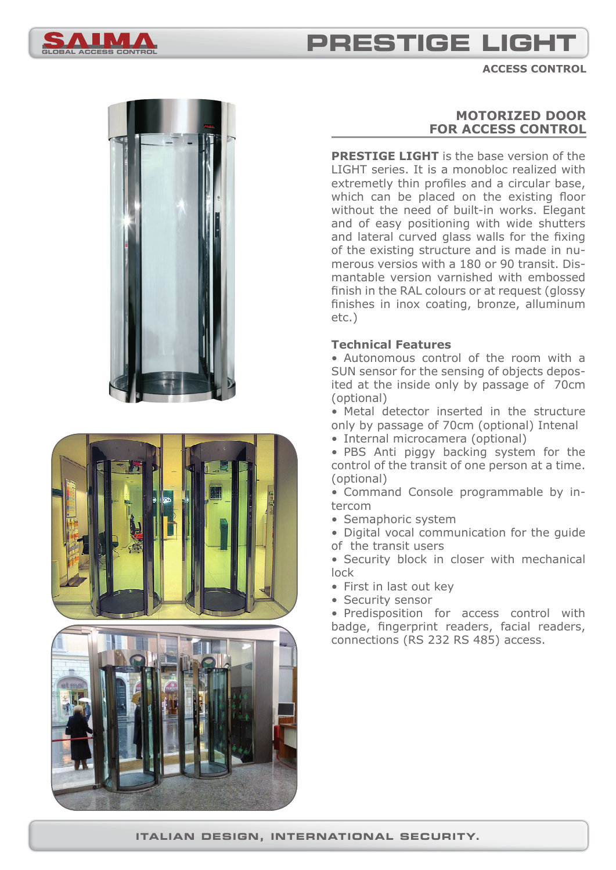

## **PRESTIGE LIGH**

**ACCESS CONTROL**





## **MOTORIZED DOOR FOR ACCESS CONTROL**

**PRESTIGE LIGHT** is the base version of the LIGHT series. It is a monobloc realized with extremetly thin profiles and a circular base, which can be placed on the existing floor without the need of built-in works. Elegant and of easy positioning with wide shutters and lateral curved glass walls for the fixing of the existing structure and is made in numerous versios with a 180 or 90 transit. Dismantable version varnished with embossed finish in the RAL colours or at request (glossy finishes in inox coating, bronze, alluminum etc.)

#### **Technical Features**

• Autonomous control of the room with a SUN sensor for the sensing of objects deposited at the inside only by passage of 70cm (optional)

• Metal detector inserted in the structure only by passage of 70cm (optional) Intenal

• Internal microcamera (optional)

• PBS Anti piggy backing system for the control of the transit of one person at a time. (optional)

• Command Console programmable by intercom

• Semaphoric system

• Digital vocal communication for the guide of the transit users

• Security block in closer with mechanical lock

- First in last out key
- Security sensor

• Predisposition for access control with badge, fingerprint readers, facial readers, connections (RS 232 RS 485) access.